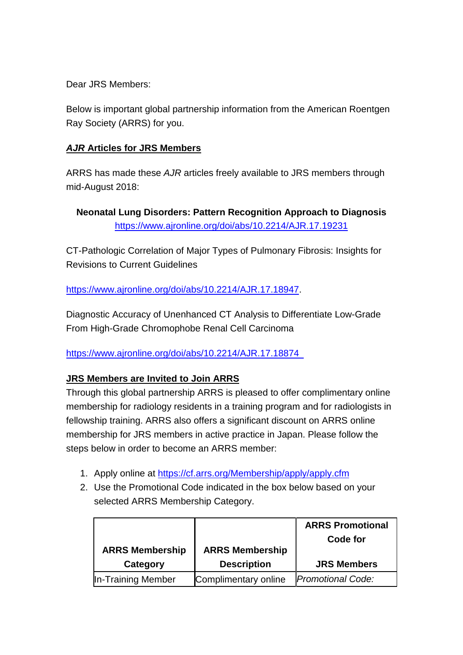Dear JRS Members:

Below is important global partnership information from the American Roentgen Ray Society (ARRS) for you.

## *AJR* **Articles for JRS Members**

ARRS has made these *AJR* articles freely available to JRS members through mid-August 2018:

**Neonatal Lung Disorders: Pattern Recognition Approach to Diagnosis** <https://www.ajronline.org/doi/abs/10.2214/AJR.17.19231>

CT-Pathologic Correlation of Major Types of Pulmonary Fibrosis: Insights for Revisions to Current Guidelines

[https://www.ajronline.org/doi/abs/10.2214/AJR.17.18947.](https://www.ajronline.org/doi/abs/10.2214/AJR.17.18947)

Diagnostic Accuracy of Unenhanced CT Analysis to Differentiate Low-Grade From High-Grade Chromophobe Renal Cell Carcinoma

<https://www.ajronline.org/doi/abs/10.2214/AJR.17.18874>

## **JRS Members are Invited to Join ARRS**

Through this global partnership ARRS is pleased to offer complimentary online membership for radiology residents in a training program and for radiologists in fellowship training. ARRS also offers a significant discount on ARRS online membership for JRS members in active practice in Japan. Please follow the steps below in order to become an ARRS member:

- 1. Apply online at<https://cf.arrs.org/Membership/apply/apply.cfm>
- 2. Use the Promotional Code indicated in the box below based on your selected ARRS Membership Category.

| <b>ARRS Membership</b><br>Category | <b>ARRS Membership</b><br><b>Description</b> | <b>ARRS Promotional</b><br>Code for<br><b>JRS Members</b> |
|------------------------------------|----------------------------------------------|-----------------------------------------------------------|
|                                    |                                              |                                                           |
| In-Training Member                 | Complimentary online                         | <b>Promotional Code:</b>                                  |